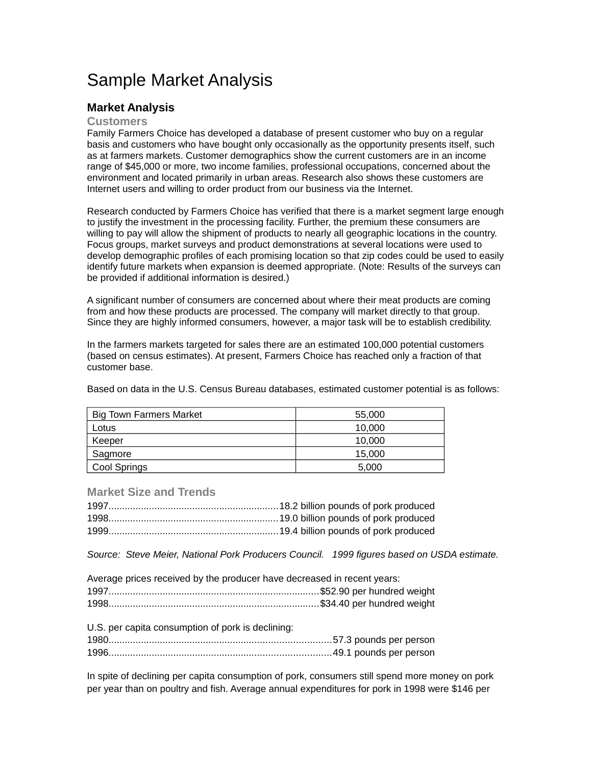# Sample Market Analysis

# **Market Analysis**

# **Customers**

Family Farmers Choice has developed a database of present customer who buy on a regular basis and customers who have bought only occasionally as the opportunity presents itself, such as at farmers markets. Customer demographics show the current customers are in an income range of \$45,000 or more, two income families, professional occupations, concerned about the environment and located primarily in urban areas. Research also shows these customers are Internet users and willing to order product from our business via the Internet.

Research conducted by Farmers Choice has verified that there is a market segment large enough to justify the investment in the processing facility. Further, the premium these consumers are willing to pay will allow the shipment of products to nearly all geographic locations in the country. Focus groups, market surveys and product demonstrations at several locations were used to develop demographic profiles of each promising location so that zip codes could be used to easily identify future markets when expansion is deemed appropriate. (Note: Results of the surveys can be provided if additional information is desired.)

A significant number of consumers are concerned about where their meat products are coming from and how these products are processed. The company will market directly to that group. Since they are highly informed consumers, however, a major task will be to establish credibility.

In the farmers markets targeted for sales there are an estimated 100,000 potential customers (based on census estimates). At present, Farmers Choice has reached only a fraction of that customer base.

Based on data in the U.S. Census Bureau databases, estimated customer potential is as follows:

| <b>Big Town Farmers Market</b> | 55,000 |
|--------------------------------|--------|
| Lotus                          | 10.000 |
| Keeper                         | 10.000 |
| Sagmore                        | 15,000 |
| Cool Springs                   | 5,000  |

## **Market Size and Trends**

*Source: Steve Meier, National Pork Producers Council. 1999 figures based on USDA estimate.*

| Average prices received by the producer have decreased in recent years: |  |
|-------------------------------------------------------------------------|--|
|                                                                         |  |
|                                                                         |  |

U.S. per capita consumption of pork is declining:

In spite of declining per capita consumption of pork, consumers still spend more money on pork per year than on poultry and fish. Average annual expenditures for pork in 1998 were \$146 per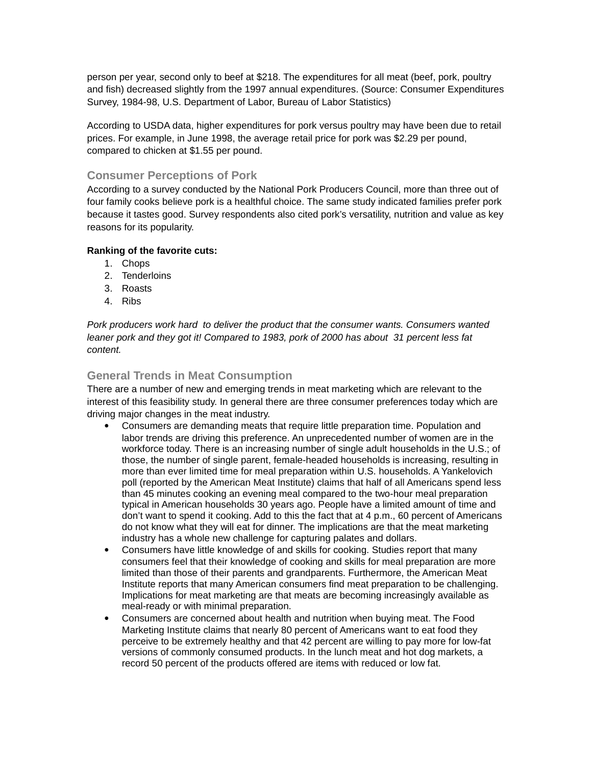person per year, second only to beef at \$218. The expenditures for all meat (beef, pork, poultry and fish) decreased slightly from the 1997 annual expenditures. (Source: Consumer Expenditures Survey, 1984-98, U.S. Department of Labor, Bureau of Labor Statistics)

According to USDA data, higher expenditures for pork versus poultry may have been due to retail prices. For example, in June 1998, the average retail price for pork was \$2.29 per pound, compared to chicken at \$1.55 per pound.

# **Consumer Perceptions of Pork**

According to a survey conducted by the National Pork Producers Council, more than three out of four family cooks believe pork is a healthful choice. The same study indicated families prefer pork because it tastes good. Survey respondents also cited pork's versatility, nutrition and value as key reasons for its popularity.

#### **Ranking of the favorite cuts:**

- 1. Chops
- 2. Tenderloins
- 3. Roasts
- 4. Ribs

*Pork producers work hard to deliver the product that the consumer wants. Consumers wanted leaner pork and they got it! Compared to 1983, pork of 2000 has about 31 percent less fat content.* 

# **General Trends in Meat Consumption**

There are a number of new and emerging trends in meat marketing which are relevant to the interest of this feasibility study. In general there are three consumer preferences today which are driving major changes in the meat industry.

- Consumers are demanding meats that require little preparation time. Population and labor trends are driving this preference. An unprecedented number of women are in the workforce today. There is an increasing number of single adult households in the U.S.; of those, the number of single parent, female-headed households is increasing, resulting in more than ever limited time for meal preparation within U.S. households. A Yankelovich poll (reported by the American Meat Institute) claims that half of all Americans spend less than 45 minutes cooking an evening meal compared to the two-hour meal preparation typical in American households 30 years ago. People have a limited amount of time and don't want to spend it cooking. Add to this the fact that at 4 p.m., 60 percent of Americans do not know what they will eat for dinner. The implications are that the meat marketing industry has a whole new challenge for capturing palates and dollars.
- Consumers have little knowledge of and skills for cooking. Studies report that many consumers feel that their knowledge of cooking and skills for meal preparation are more limited than those of their parents and grandparents. Furthermore, the American Meat Institute reports that many American consumers find meat preparation to be challenging. Implications for meat marketing are that meats are becoming increasingly available as meal-ready or with minimal preparation.
- Consumers are concerned about health and nutrition when buying meat. The Food Marketing Institute claims that nearly 80 percent of Americans want to eat food they perceive to be extremely healthy and that 42 percent are willing to pay more for low-fat versions of commonly consumed products. In the lunch meat and hot dog markets, a record 50 percent of the products offered are items with reduced or low fat.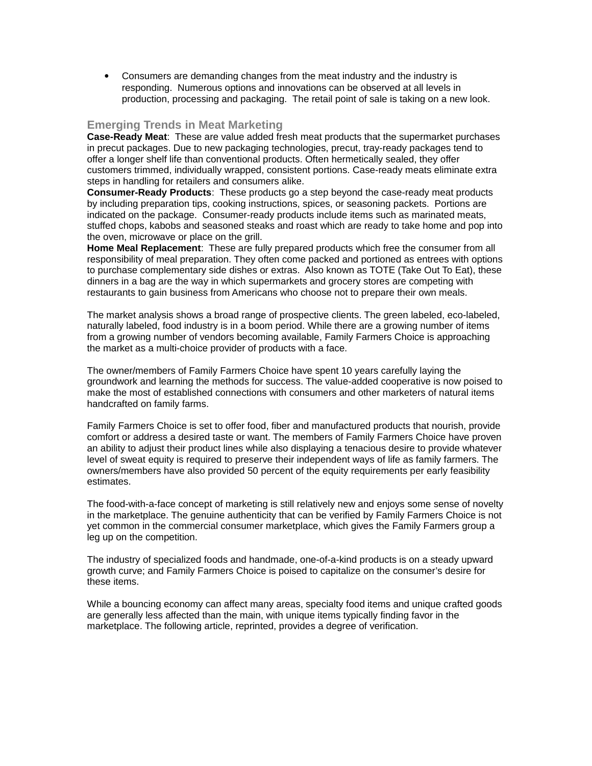Consumers are demanding changes from the meat industry and the industry is responding. Numerous options and innovations can be observed at all levels in production, processing and packaging. The retail point of sale is taking on a new look.

# **Emerging Trends in Meat Marketing**

**Case-Ready Meat**: These are value added fresh meat products that the supermarket purchases in precut packages. Due to new packaging technologies, precut, tray-ready packages tend to offer a longer shelf life than conventional products. Often hermetically sealed, they offer customers trimmed, individually wrapped, consistent portions. Case-ready meats eliminate extra steps in handling for retailers and consumers alike.

**Consumer-Ready Products**: These products go a step beyond the case-ready meat products by including preparation tips, cooking instructions, spices, or seasoning packets. Portions are indicated on the package. Consumer-ready products include items such as marinated meats, stuffed chops, kabobs and seasoned steaks and roast which are ready to take home and pop into the oven, microwave or place on the grill.

**Home Meal Replacement**: These are fully prepared products which free the consumer from all responsibility of meal preparation. They often come packed and portioned as entrees with options to purchase complementary side dishes or extras. Also known as TOTE (Take Out To Eat), these dinners in a bag are the way in which supermarkets and grocery stores are competing with restaurants to gain business from Americans who choose not to prepare their own meals.

The market analysis shows a broad range of prospective clients. The green labeled, eco-labeled, naturally labeled, food industry is in a boom period. While there are a growing number of items from a growing number of vendors becoming available, Family Farmers Choice is approaching the market as a multi-choice provider of products with a face.

The owner/members of Family Farmers Choice have spent 10 years carefully laying the groundwork and learning the methods for success. The value-added cooperative is now poised to make the most of established connections with consumers and other marketers of natural items handcrafted on family farms.

Family Farmers Choice is set to offer food, fiber and manufactured products that nourish, provide comfort or address a desired taste or want. The members of Family Farmers Choice have proven an ability to adjust their product lines while also displaying a tenacious desire to provide whatever level of sweat equity is required to preserve their independent ways of life as family farmers. The owners/members have also provided 50 percent of the equity requirements per early feasibility estimates.

The food-with-a-face concept of marketing is still relatively new and enjoys some sense of novelty in the marketplace. The genuine authenticity that can be verified by Family Farmers Choice is not yet common in the commercial consumer marketplace, which gives the Family Farmers group a leg up on the competition.

The industry of specialized foods and handmade, one-of-a-kind products is on a steady upward growth curve; and Family Farmers Choice is poised to capitalize on the consumer's desire for these items.

While a bouncing economy can affect many areas, specialty food items and unique crafted goods are generally less affected than the main, with unique items typically finding favor in the marketplace. The following article, reprinted, provides a degree of verification.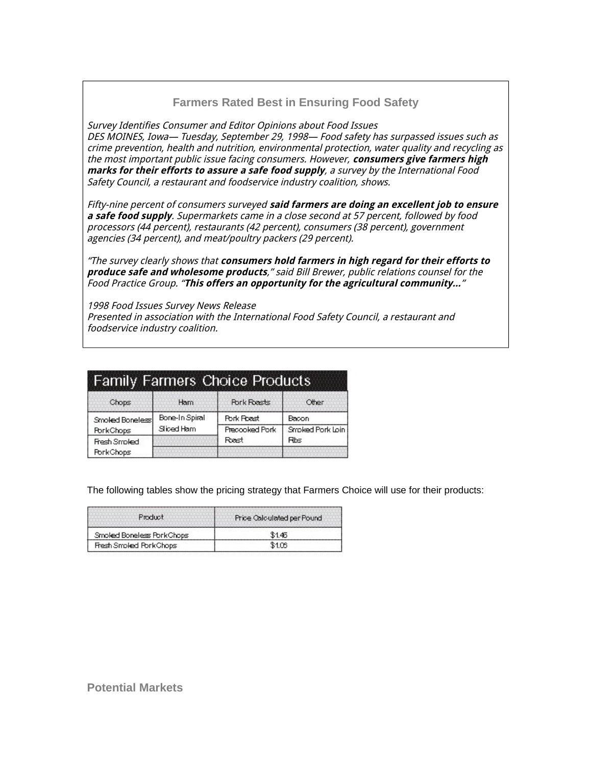# **Farmers Rated Best in Ensuring Food Safety**

Survey Identifies Consumer and Editor Opinions about Food Issues DES MOINES, Iowa— Tuesday, September 29, 1998— Food safety has surpassed issues such as crime prevention, health and nutrition, environmental protection, water quality and recycling as the most important public issue facing consumers. However, **consumers give farmers high marks for their efforts to assure a safe food supply**, a survey by the International Food Safety Council, a restaurant and foodservice industry coalition, shows.

Fifty-nine percent of consumers surveyed **said farmers are doing an excellent job to ensure a safe food supply**. Supermarkets came in a close second at 57 percent, followed by food processors (44 percent), restaurants (42 percent), consumers (38 percent), government agencies (34 percent), and meat/poultry packers (29 percent).

"The survey clearly shows that **consumers hold farmers in high regard for their efforts to produce safe and wholesome products**," said Bill Brewer, public relations counsel for the Food Practice Group. "**This offers an opportunity for the agricultural community…**"

1998 Food Issues Survey News Release Presented in association with the International Food Safety Council, a restaurant and foodservice industry coalition.

| <b>Family Farmers Choice Products</b> |                              |                             |                           |
|---------------------------------------|------------------------------|-----------------------------|---------------------------|
| Chops                                 | <b>Ham</b>                   | <b>Pork Roasts</b>          | Other                     |
| Smoked Boneless!<br>PorkChops         | Bone-In Spiral<br>Sliced Ham | Pork Road<br>Precooked Pork | Bacon<br>Smoked Pork Loin |
| Fresh Smoked<br>PorkChops             |                              | Rest                        | <b>Rbs</b>                |

The following tables show the pricing strategy that Farmers Choice will use for their products:

| Product                    | Price Calculated per Pound |
|----------------------------|----------------------------|
| Smoked Boneless Pork Chops |                            |
| Fresh Smoked PorkChops     |                            |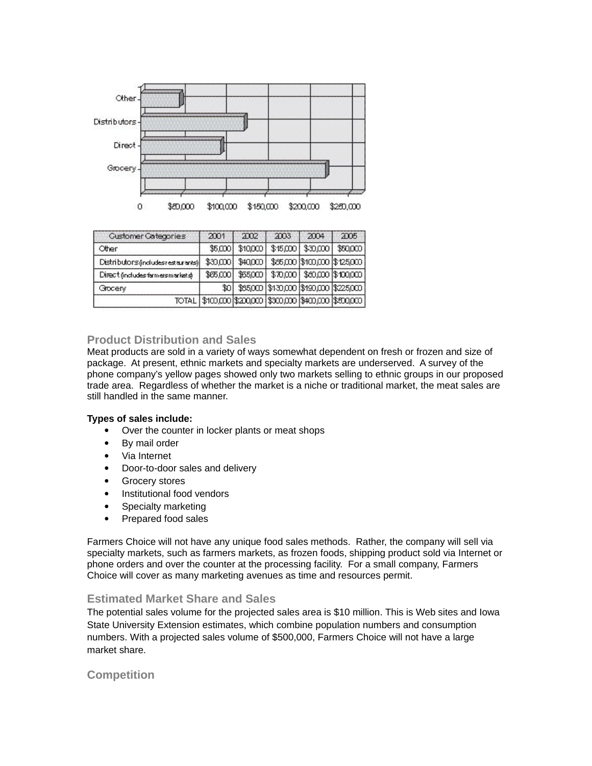

| <b>Customer Categories</b>           | 2001                                                              | 700 | 2003                                          | 2004 | 2005    |
|--------------------------------------|-------------------------------------------------------------------|-----|-----------------------------------------------|------|---------|
| Other                                | \$5,000                                                           |     | $$10,000$ $$15,000$ $$30,000$                 |      | \$50000 |
| Distributors (includes restaurants)] | 330,0001                                                          |     | \$40,000 \$85,000 \$100,000 \$125,000         |      |         |
| Direct (includes farmersmarkets)     |                                                                   |     | \$85,000 \$55,000 \$70,000 \$80,000 \$100,000 |      |         |
| Grocery                              | \$O.                                                              |     | \$85,000 \$130,000 \$190,000 \$225,000        |      |         |
|                                      | TOTAL   \$100,000   \$200,000   \$300,000   \$400,000   \$500,000 |     |                                               |      |         |

## **Product Distribution and Sales**

Meat products are sold in a variety of ways somewhat dependent on fresh or frozen and size of package. At present, ethnic markets and specialty markets are underserved. A survey of the phone company's yellow pages showed only two markets selling to ethnic groups in our proposed trade area. Regardless of whether the market is a niche or traditional market, the meat sales are still handled in the same manner.

#### **Types of sales include:**

- Over the counter in locker plants or meat shops
- By mail order
- Via Internet
- Door-to-door sales and delivery
- Grocery stores
- Institutional food vendors
- Specialty marketing
- Prepared food sales

Farmers Choice will not have any unique food sales methods. Rather, the company will sell via specialty markets, such as farmers markets, as frozen foods, shipping product sold via Internet or phone orders and over the counter at the processing facility. For a small company, Farmers Choice will cover as many marketing avenues as time and resources permit.

## **Estimated Market Share and Sales**

The potential sales volume for the projected sales area is \$10 million. This is Web sites and Iowa State University Extension estimates, which combine population numbers and consumption numbers. With a projected sales volume of \$500,000, Farmers Choice will not have a large market share.

# **Competition**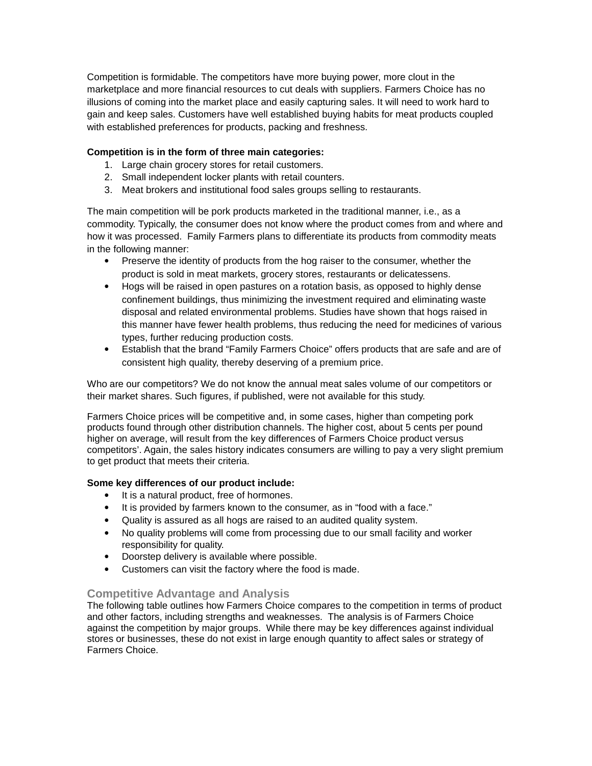Competition is formidable. The competitors have more buying power, more clout in the marketplace and more financial resources to cut deals with suppliers. Farmers Choice has no illusions of coming into the market place and easily capturing sales. It will need to work hard to gain and keep sales. Customers have well established buying habits for meat products coupled with established preferences for products, packing and freshness.

# **Competition is in the form of three main categories:**

- 1. Large chain grocery stores for retail customers.
- 2. Small independent locker plants with retail counters.
- 3. Meat brokers and institutional food sales groups selling to restaurants.

The main competition will be pork products marketed in the traditional manner, i.e., as a commodity. Typically, the consumer does not know where the product comes from and where and how it was processed. Family Farmers plans to differentiate its products from commodity meats in the following manner:

- Preserve the identity of products from the hog raiser to the consumer, whether the product is sold in meat markets, grocery stores, restaurants or delicatessens.
- Hogs will be raised in open pastures on a rotation basis, as opposed to highly dense confinement buildings, thus minimizing the investment required and eliminating waste disposal and related environmental problems. Studies have shown that hogs raised in this manner have fewer health problems, thus reducing the need for medicines of various types, further reducing production costs.
- Establish that the brand "Family Farmers Choice" offers products that are safe and are of consistent high quality, thereby deserving of a premium price.

Who are our competitors? We do not know the annual meat sales volume of our competitors or their market shares. Such figures, if published, were not available for this study.

Farmers Choice prices will be competitive and, in some cases, higher than competing pork products found through other distribution channels. The higher cost, about 5 cents per pound higher on average, will result from the key differences of Farmers Choice product versus competitors'. Again, the sales history indicates consumers are willing to pay a very slight premium to get product that meets their criteria.

# **Some key differences of our product include:**

- It is a natural product, free of hormones.
- It is provided by farmers known to the consumer, as in "food with a face."
- Quality is assured as all hogs are raised to an audited quality system.
- No quality problems will come from processing due to our small facility and worker responsibility for quality.
- Doorstep delivery is available where possible.
- Customers can visit the factory where the food is made.

# **Competitive Advantage and Analysis**

The following table outlines how Farmers Choice compares to the competition in terms of product and other factors, including strengths and weaknesses. The analysis is of Farmers Choice against the competition by major groups. While there may be key differences against individual stores or businesses, these do not exist in large enough quantity to affect sales or strategy of Farmers Choice.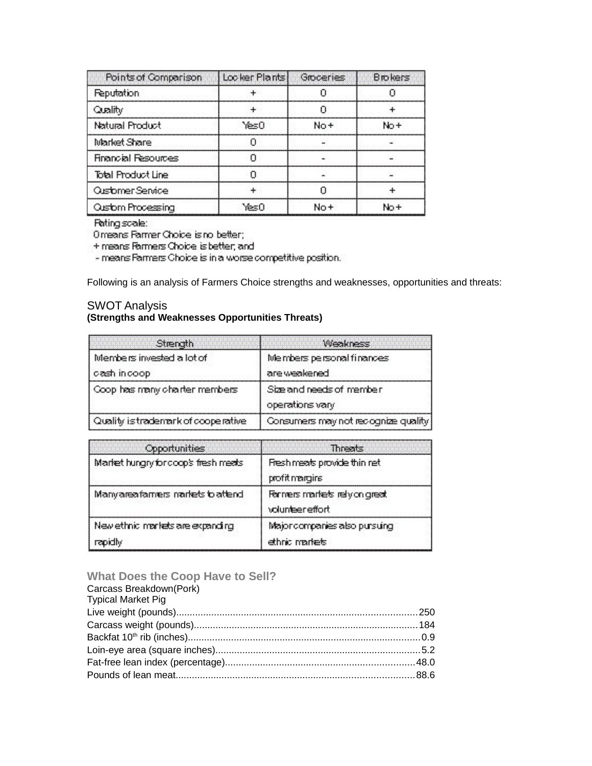| Points of Comparison       | Locker Plants | Groceries | <b>Brokers</b> |
|----------------------------|---------------|-----------|----------------|
| <b>Reputation</b>          | ÷             |           |                |
| Quality                    |               |           |                |
| <b>Natural Product</b>     | YesO          | No+       | No +           |
| Market Share               | П             |           |                |
| <b>Financial Resources</b> | n             |           |                |
| Total Product Line         | n             |           |                |
| Ousforner Service          | ÷             |           |                |
| Ouslom Processing          | ำ⊱ะ∩          | No +      | No +           |

## Fating scale:

Orreans Farmer Choice is no better;

+ means Farmers Choice is better, and

- means Farmers Choice is in a worse competitive position.

Following is an analysis of Farmers Choice strengths and weaknesses, opportunities and threats:

# SWOT Analysis **(Strengths and Weaknesses Opportunities Threats)**

| Strength                                 | <b>Weakness</b>                             |
|------------------------------------------|---------------------------------------------|
| Members invested a lot of<br>desh indoop | Members personal finances<br>are weakened   |
| Coop has many charter members            | Size and needs of member<br>operations vary |
| Quality is trademark of cooperative      | Consumers may not recognize quality.        |

| Opportunities                                | <b>Threats</b>                                   |
|----------------------------------------------|--------------------------------------------------|
| Market hungry for coop's fresh meets         | Fresh meats provide thin ret<br>profit margins   |
| Manyareafamers nariets to attend             | Farners markets rely on great<br>volunteereffort |
| New ethnic markets are expanding<br>repidly. | Major companies also pursuing<br>ethnic markets  |

# **What Does the Coop Have to Sell?**

| Carcass Breakdown(Pork)   |  |
|---------------------------|--|
| <b>Typical Market Pig</b> |  |
|                           |  |
|                           |  |
|                           |  |
|                           |  |
|                           |  |
|                           |  |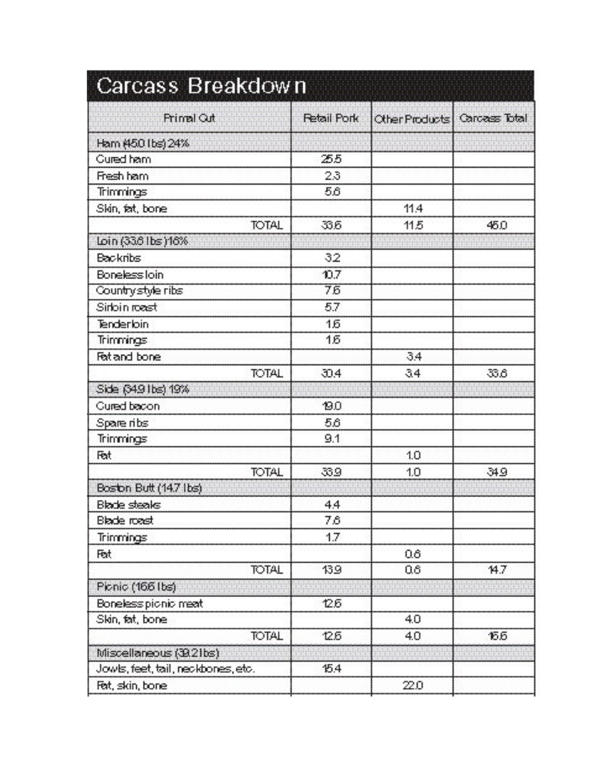| Carcass Breakdown                  |                    |                                |      |
|------------------------------------|--------------------|--------------------------------|------|
| <b>Primal Out</b>                  | <b>Retail Pork</b> | Other Products   Carcass Total |      |
| Ham (450 lbs) 24%                  |                    |                                |      |
| <b>Gured ham</b>                   | 25.5               |                                |      |
| Fresh ham.                         | 2.3                |                                |      |
| <b>Trimmings</b>                   | 56                 |                                |      |
| Skin, fat, bone                    |                    | 11.4                           |      |
| <b>TOTAL</b>                       | 33.6               | 11.5                           | 45.0 |
| loin (33.6 lbs )16%                |                    |                                |      |
| <b>Backribs</b>                    | 32                 |                                |      |
| Boneless loin                      | 10.7               |                                |      |
| Country style ribs                 | 75                 |                                |      |
| Sirbin roast                       | 57                 |                                |      |
| Tenderloin                         | 16                 |                                |      |
| <b>Trimmings</b>                   | 16                 |                                |      |
| Fet and bone                       |                    | 34                             |      |
| <b>TOTAL</b>                       | J34                | 34                             | 336  |
| Side (349 lbs) 19%                 |                    |                                |      |
| <b>Cured bacon</b>                 | <b>19.0</b>        |                                |      |
| Spare ribs                         | 5,6                |                                |      |
| Trimmings                          | 9.1                |                                |      |
| Fet                                |                    | 1.0                            |      |
| <b>TOTAL</b>                       | 33.9               | 1.0                            | 34.9 |
| Boston Butt (14.7 lbs)             |                    |                                |      |
| <b>Blade steaks</b>                | 4.4                |                                |      |
| <b>Blade roast</b>                 | 7.6                |                                |      |
| <b>Trimmings</b>                   | 1.7                |                                |      |
| Fot                                |                    | 06 <sub>1</sub>                |      |
| <b>TOTAL</b>                       | 139                | 06                             | 14.7 |
| Pionio (166 lbs)                   |                    |                                |      |
| Boneless pionic meat               | 125                |                                |      |
| Skin, fat, bone.                   |                    | 4.0                            |      |
| <b>TOTAL</b>                       | 12.5               | 4.0                            | 155  |
| Miscellaneous (39.21bs)            |                    |                                |      |
| Jowls, feet, tail, neckbones, etc. | 15.4               |                                |      |
| Fet, skin, bone                    |                    | 22.0                           |      |